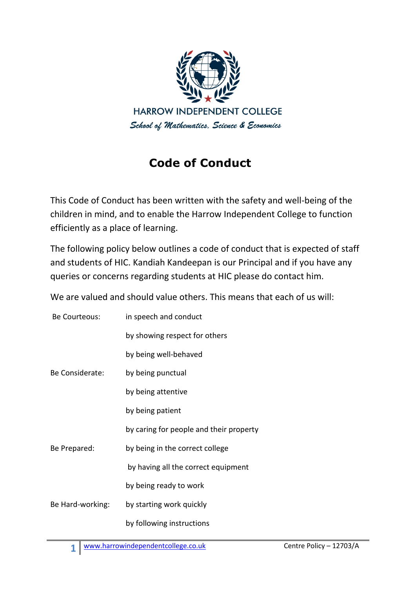

## **Code of Conduct**

This Code of Conduct has been written with the safety and well-being of the children in mind, and to enable the Harrow Independent College to function efficiently as a place of learning.

The following policy below outlines a code of conduct that is expected of staff and students of HIC. Kandiah Kandeepan is our Principal and if you have any queries or concerns regarding students at HIC please do contact him.

We are valued and should value others. This means that each of us will:

| Be Courteous:    | in speech and conduct                   |
|------------------|-----------------------------------------|
|                  | by showing respect for others           |
| Be Considerate:  | by being well-behaved                   |
|                  | by being punctual                       |
|                  | by being attentive                      |
|                  | by being patient                        |
|                  | by caring for people and their property |
| Be Prepared:     | by being in the correct college         |
|                  | by having all the correct equipment     |
|                  | by being ready to work                  |
| Be Hard-working: | by starting work quickly                |
|                  | by following instructions               |